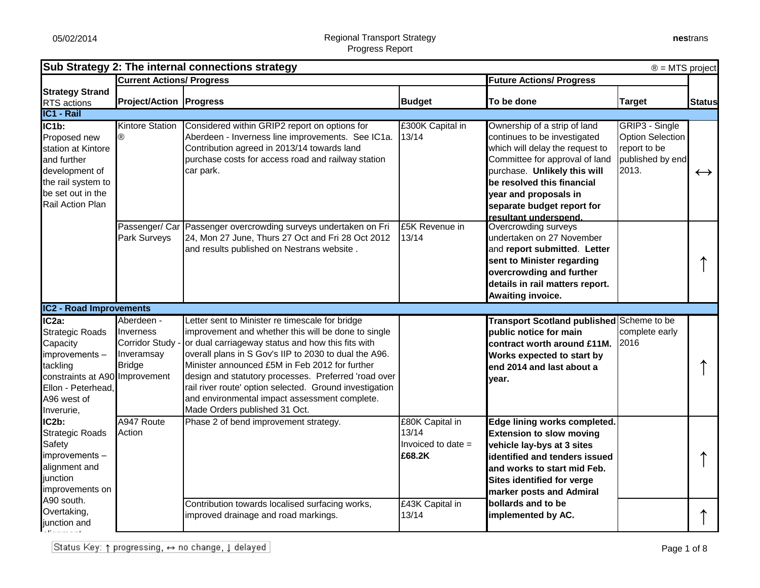| Sub Strategy 2: The internal connections strategy<br>$\circledR$ = MTS project                                                                                              |                                                                                 |                                                                                                                                                                                                                                                                                                                                                                                                                                                                             |                                                          |                                                                                                                                                                                                                                                                                 |                                                                                        |                   |
|-----------------------------------------------------------------------------------------------------------------------------------------------------------------------------|---------------------------------------------------------------------------------|-----------------------------------------------------------------------------------------------------------------------------------------------------------------------------------------------------------------------------------------------------------------------------------------------------------------------------------------------------------------------------------------------------------------------------------------------------------------------------|----------------------------------------------------------|---------------------------------------------------------------------------------------------------------------------------------------------------------------------------------------------------------------------------------------------------------------------------------|----------------------------------------------------------------------------------------|-------------------|
|                                                                                                                                                                             | <b>Current Actions/ Progress</b>                                                |                                                                                                                                                                                                                                                                                                                                                                                                                                                                             |                                                          | <b>Future Actions/ Progress</b>                                                                                                                                                                                                                                                 |                                                                                        |                   |
| <b>Strategy Strand</b>                                                                                                                                                      |                                                                                 |                                                                                                                                                                                                                                                                                                                                                                                                                                                                             |                                                          |                                                                                                                                                                                                                                                                                 |                                                                                        |                   |
| RTS actions<br>IC1 - Rail                                                                                                                                                   | <b>Project/Action Progress</b>                                                  |                                                                                                                                                                                                                                                                                                                                                                                                                                                                             | <b>Budget</b>                                            | To be done                                                                                                                                                                                                                                                                      | <b>Target</b>                                                                          | <b>Status</b>     |
|                                                                                                                                                                             |                                                                                 |                                                                                                                                                                                                                                                                                                                                                                                                                                                                             |                                                          |                                                                                                                                                                                                                                                                                 |                                                                                        |                   |
| $\overline{\textsf{IC1b}}$ :<br>Proposed new<br>station at Kintore<br>and further<br>development of<br>the rail system to<br>be set out in the<br>Rail Action Plan          | <b>Kintore Station</b><br>®                                                     | Considered within GRIP2 report on options for<br>Aberdeen - Inverness line improvements. See IC1a.<br>Contribution agreed in 2013/14 towards land<br>purchase costs for access road and railway station<br>car park.                                                                                                                                                                                                                                                        | £300K Capital in<br>13/14                                | Ownership of a strip of land<br>continues to be investigated<br>which will delay the request to<br>Committee for approval of land<br>purchase. Unlikely this will<br>be resolved this financial<br>year and proposals in<br>separate budget report for<br>resultant underspend. | GRIP3 - Single<br><b>Option Selection</b><br>report to be<br>published by end<br>2013. | $\leftrightarrow$ |
|                                                                                                                                                                             | Park Surveys                                                                    | Passenger/ Car Passenger overcrowding surveys undertaken on Fri<br>24, Mon 27 June, Thurs 27 Oct and Fri 28 Oct 2012<br>and results published on Nestrans website.                                                                                                                                                                                                                                                                                                          | £5K Revenue in<br>13/14                                  | Overcrowding surveys<br>undertaken on 27 November<br>and report submitted. Letter<br>sent to Minister regarding<br>overcrowding and further<br>details in rail matters report.<br>Awaiting invoice.                                                                             |                                                                                        |                   |
| <b>IC2 - Road Improvements</b>                                                                                                                                              |                                                                                 |                                                                                                                                                                                                                                                                                                                                                                                                                                                                             |                                                          |                                                                                                                                                                                                                                                                                 |                                                                                        |                   |
| IC <sub>2a</sub> :<br><b>Strategic Roads</b><br>Capacity<br>improvements -<br>tackling<br>constraints at A90 Improvement<br>Ellon - Peterhead,<br>A96 west of<br>Inverurie, | Aberdeen -<br>Inverness<br><b>Corridor Study</b><br>Inveramsay<br><b>Bridge</b> | Letter sent to Minister re timescale for bridge<br>improvement and whether this will be done to single<br>or dual carriageway status and how this fits with<br>overall plans in S Gov's IIP to 2030 to dual the A96.<br>Minister announced £5M in Feb 2012 for further<br>design and statutory processes. Preferred 'road over<br>rail river route' option selected. Ground investigation<br>and environmental impact assessment complete.<br>Made Orders published 31 Oct. |                                                          | Transport Scotland published Scheme to be<br>public notice for main<br>contract worth around £11M.<br>Works expected to start by<br>end 2014 and last about a<br>year.                                                                                                          | complete early<br>2016                                                                 |                   |
| IC2b:<br><b>Strategic Roads</b><br><b>Safety</b><br>improvements -<br>alignment and<br>junction<br>improvements on                                                          | A947 Route<br>Action                                                            | Phase 2 of bend improvement strategy.                                                                                                                                                                                                                                                                                                                                                                                                                                       | £80K Capital in<br>13/14<br>Invoiced to date =<br>£68.2K | Edge lining works completed.<br><b>Extension to slow moving</b><br>vehicle lay-bys at 3 sites<br>identified and tenders issued<br>and works to start mid Feb.<br>Sites identified for verge<br>marker posts and Admiral                                                         |                                                                                        |                   |
| A90 south.<br>Overtaking,<br>junction and                                                                                                                                   |                                                                                 | Contribution towards localised surfacing works,<br>improved drainage and road markings.                                                                                                                                                                                                                                                                                                                                                                                     | £43K Capital in<br>13/14                                 | bollards and to be<br>implemented by AC.                                                                                                                                                                                                                                        |                                                                                        |                   |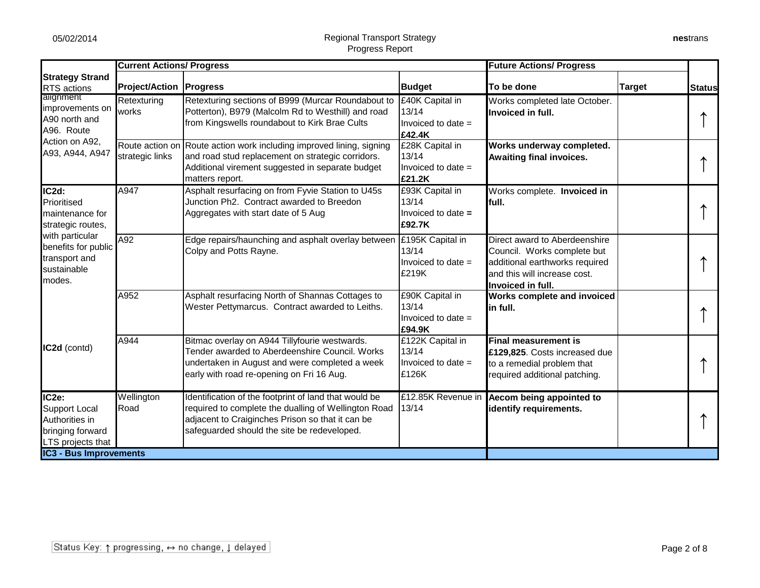|                                                                                                                                                  |                                  | <b>Future Actions/ Progress</b><br><b>Current Actions/ Progress</b>                                                                                                                                              |                                                            |                                                                                                                                                     |               |               |
|--------------------------------------------------------------------------------------------------------------------------------------------------|----------------------------------|------------------------------------------------------------------------------------------------------------------------------------------------------------------------------------------------------------------|------------------------------------------------------------|-----------------------------------------------------------------------------------------------------------------------------------------------------|---------------|---------------|
| <b>Strategy Strand</b><br><b>RTS</b> actions                                                                                                     | <b>Project/Action   Progress</b> |                                                                                                                                                                                                                  | <b>Budget</b>                                              | To be done                                                                                                                                          | <b>Target</b> | <b>Status</b> |
| alignment<br>improvements on<br>A90 north and<br>A96. Route                                                                                      | Retexturing<br>works             | Retexturing sections of B999 (Murcar Roundabout to<br>Potterton), B979 (Malcolm Rd to Westhill) and road<br>from Kingswells roundabout to Kirk Brae Cults                                                        | £40K Capital in<br>13/14<br>Invoiced to date $=$<br>£42.4K | Works completed late October.<br>Invoiced in full.                                                                                                  |               |               |
| Action on A92,<br>A93, A944, A947                                                                                                                | strategic links                  | Route action on Route action work including improved lining, signing<br>and road stud replacement on strategic corridors.<br>Additional virement suggested in separate budget<br>matters report.                 | £28K Capital in<br>13/14<br>Invoiced to date =<br>£21.2K   | Works underway completed.<br><b>Awaiting final invoices.</b>                                                                                        |               |               |
| IC2d:<br>Prioritised<br>maintenance for<br>strategic routes,<br>with particular<br>benefits for public<br>transport and<br>sustainable<br>modes. | A947                             | Asphalt resurfacing on from Fyvie Station to U45s<br>Junction Ph2. Contract awarded to Breedon<br>Aggregates with start date of 5 Aug                                                                            | £93K Capital in<br>13/14<br>Invoiced to date =<br>£92.7K   | Works complete. Invoiced in<br>full.                                                                                                                |               |               |
|                                                                                                                                                  | A92                              | Edge repairs/haunching and asphalt overlay between E195K Capital in<br>Colpy and Potts Rayne.                                                                                                                    | 13/14<br>Invoiced to date $=$<br>£219K                     | Direct award to Aberdeenshire<br>Council. Works complete but<br>additional earthworks required<br>and this will increase cost.<br>Invoiced in full. |               |               |
|                                                                                                                                                  | A952                             | Asphalt resurfacing North of Shannas Cottages to<br>Wester Pettymarcus. Contract awarded to Leiths.                                                                                                              | £90K Capital in<br>13/14<br>Invoiced to date $=$<br>£94.9K | Works complete and invoiced<br>in full.                                                                                                             |               |               |
| IC2d (contd)                                                                                                                                     | A944                             | Bitmac overlay on A944 Tillyfourie westwards.<br>Tender awarded to Aberdeenshire Council. Works<br>undertaken in August and were completed a week<br>early with road re-opening on Fri 16 Aug.                   | £122K Capital in<br>13/14<br>Invoiced to date $=$<br>£126K | <b>Final measurement is</b><br>£129,825. Costs increased due<br>to a remedial problem that<br>required additional patching.                         |               |               |
| IC2e:<br><b>Support Local</b><br>Authorities in<br>bringing forward<br><b>LTS</b> projects that<br><b>IC3 - Bus Improvements</b>                 | Wellington<br>Road               | Identification of the footprint of land that would be<br>required to complete the dualling of Wellington Road<br>adjacent to Craiginches Prison so that it can be<br>safeguarded should the site be redeveloped. | 13/14                                                      | £12.85K Revenue in Aecom being appointed to<br>identify requirements.                                                                               |               |               |
|                                                                                                                                                  |                                  |                                                                                                                                                                                                                  |                                                            |                                                                                                                                                     |               |               |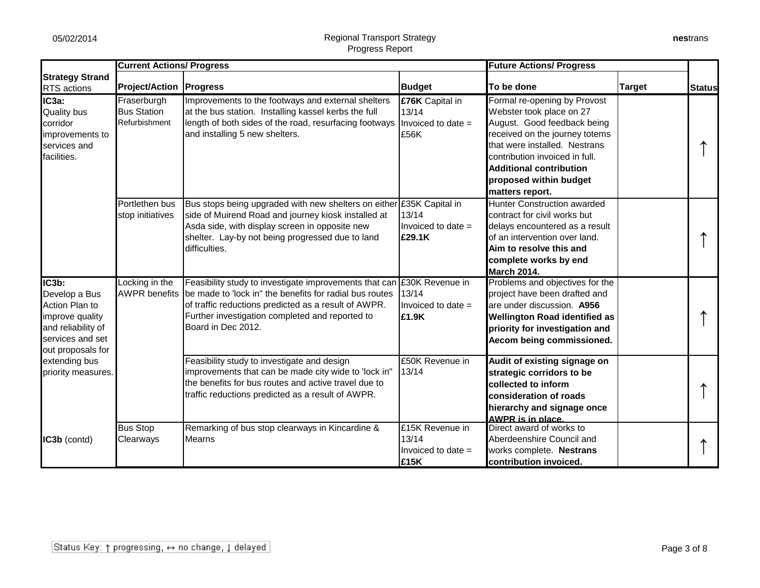|                                                                                                                                                                   | <b>Current Actions/ Progress</b>                   |                                                                                                                                                                                                                                                    |                                                            | <b>Future Actions/ Progress</b>                                                                                                                                                                                                                                             |               |               |
|-------------------------------------------------------------------------------------------------------------------------------------------------------------------|----------------------------------------------------|----------------------------------------------------------------------------------------------------------------------------------------------------------------------------------------------------------------------------------------------------|------------------------------------------------------------|-----------------------------------------------------------------------------------------------------------------------------------------------------------------------------------------------------------------------------------------------------------------------------|---------------|---------------|
| <b>Strategy Strand</b><br><b>RTS</b> actions                                                                                                                      | <b>Project/Action</b>                              | <b>Progress</b>                                                                                                                                                                                                                                    | <b>Budget</b>                                              | To be done                                                                                                                                                                                                                                                                  | <b>Target</b> | <b>Status</b> |
| IC3a:<br><b>Quality bus</b><br>corridor<br>improvements to<br>services and<br>facilities.                                                                         | Fraserburgh<br><b>Bus Station</b><br>Refurbishment | Improvements to the footways and external shelters<br>at the bus station. Installing kassel kerbs the full<br>length of both sides of the road, resurfacing footways<br>and installing 5 new shelters.                                             | £76K Capital in<br>13/14<br>Invoiced to date =<br>£56K     | Formal re-opening by Provost<br>Webster took place on 27<br>August. Good feedback being<br>received on the journey totems<br>that were installed. Nestrans<br>contribution invoiced in full.<br><b>Additional contribution</b><br>proposed within budget<br>matters report. |               |               |
|                                                                                                                                                                   | Portlethen bus<br>stop initiatives                 | Bus stops being upgraded with new shelters on either<br>side of Muirend Road and journey kiosk installed at<br>Asda side, with display screen in opposite new<br>shelter. Lay-by not being progressed due to land<br>difficulties.                 | £35K Capital in<br>13/14<br>Invoiced to date $=$<br>£29.1K | Hunter Construction awarded<br>contract for civil works but<br>delays encountered as a result<br>of an intervention over land.<br>Aim to resolve this and<br>complete works by end<br><b>March 2014.</b>                                                                    |               |               |
| IC3b:<br>Develop a Bus<br>Action Plan to<br>improve quality<br>and reliability of<br>services and set<br>out proposals for<br>extending bus<br>priority measures. | Locking in the<br><b>AWPR benefits</b>             | Feasibility study to investigate improvements that can<br>be made to 'lock in" the benefits for radial bus routes<br>of traffic reductions predicted as a result of AWPR.<br>Further investigation completed and reported to<br>Board in Dec 2012. | £30K Revenue in<br>13/14<br>Invoiced to date $=$<br>£1.9K  | Problems and objectives for the<br>project have been drafted and<br>are under discussion. A956<br><b>Wellington Road identified as</b><br>priority for investigation and<br>Aecom being commissioned.                                                                       |               |               |
|                                                                                                                                                                   |                                                    | Feasibility study to investigate and design<br>improvements that can be made city wide to 'lock in"<br>the benefits for bus routes and active travel due to<br>traffic reductions predicted as a result of AWPR.                                   | £50K Revenue in<br>13/14                                   | Audit of existing signage on<br>strategic corridors to be<br>collected to inform<br>consideration of roads<br>hierarchy and signage once<br>AWPR is in place.                                                                                                               |               |               |
| IC3b (contd)                                                                                                                                                      | <b>Bus Stop</b><br>Clearways                       | Remarking of bus stop clearways in Kincardine &<br>Mearns                                                                                                                                                                                          | £15K Revenue in<br>13/14<br>Invoiced to date $=$<br>£15K   | Direct award of works to<br>Aberdeenshire Council and<br>works complete. Nestrans<br>contribution invoiced.                                                                                                                                                                 |               |               |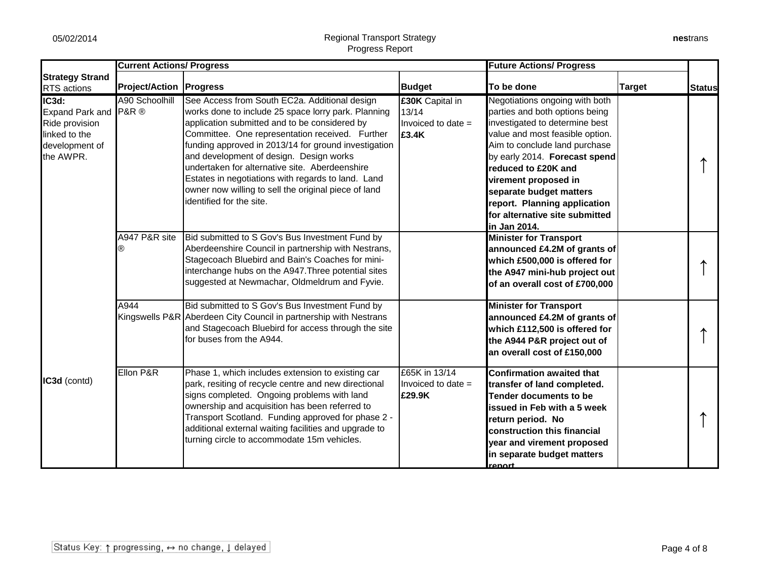|                                                                                                                         | <b>Current Actions/ Progress</b> |                                                                                                                                                                                                                                                                                                                                                                                                                                                                                                         |                                                                  | <b>Future Actions/ Progress</b>                                                                                                                                                                                                                                                                                                                                     |               |               |
|-------------------------------------------------------------------------------------------------------------------------|----------------------------------|---------------------------------------------------------------------------------------------------------------------------------------------------------------------------------------------------------------------------------------------------------------------------------------------------------------------------------------------------------------------------------------------------------------------------------------------------------------------------------------------------------|------------------------------------------------------------------|---------------------------------------------------------------------------------------------------------------------------------------------------------------------------------------------------------------------------------------------------------------------------------------------------------------------------------------------------------------------|---------------|---------------|
| <b>Strategy Strand</b><br><b>RTS</b> actions                                                                            | <b>Project/Action   Progress</b> |                                                                                                                                                                                                                                                                                                                                                                                                                                                                                                         | <b>Budget</b>                                                    | To be done                                                                                                                                                                                                                                                                                                                                                          | <b>Target</b> | <b>Status</b> |
| $\overline{\textsf{IC3d}}$ :<br>Expand Park and P&R ®<br>Ride provision<br>linked to the<br>development of<br>the AWPR. | A90 Schoolhill                   | See Access from South EC2a. Additional design<br>works done to include 25 space lorry park. Planning<br>application submitted and to be considered by<br>Committee. One representation received. Further<br>funding approved in 2013/14 for ground investigation<br>and development of design. Design works<br>undertaken for alternative site. Aberdeenshire<br>Estates in negotiations with regards to land. Land<br>owner now willing to sell the original piece of land<br>identified for the site. | <b>£30K</b> Capital in<br>13/14<br>Invoiced to date $=$<br>£3.4K | Negotiations ongoing with both<br>parties and both options being<br>investigated to determine best<br>value and most feasible option.<br>Aim to conclude land purchase<br>by early 2014. Forecast spend<br>reduced to £20K and<br>virement proposed in<br>separate budget matters<br>report. Planning application<br>for alternative site submitted<br>in Jan 2014. |               |               |
|                                                                                                                         | A947 P&R site<br>®               | Bid submitted to S Gov's Bus Investment Fund by<br>Aberdeenshire Council in partnership with Nestrans,<br>Stagecoach Bluebird and Bain's Coaches for mini-<br>interchange hubs on the A947. Three potential sites<br>suggested at Newmachar, Oldmeldrum and Fyvie.                                                                                                                                                                                                                                      |                                                                  | <b>Minister for Transport</b><br>announced £4.2M of grants of<br>which £500,000 is offered for<br>the A947 mini-hub project out<br>of an overall cost of £700,000                                                                                                                                                                                                   |               |               |
|                                                                                                                         | A944                             | Bid submitted to S Gov's Bus Investment Fund by<br>Kingswells P&R Aberdeen City Council in partnership with Nestrans<br>and Stagecoach Bluebird for access through the site<br>for buses from the A944.                                                                                                                                                                                                                                                                                                 |                                                                  | <b>Minister for Transport</b><br>announced £4.2M of grants of<br>which £112,500 is offered for<br>the A944 P&R project out of<br>an overall cost of £150,000                                                                                                                                                                                                        |               |               |
| IC3d (contd)                                                                                                            | Ellon P&R                        | Phase 1, which includes extension to existing car<br>park, resiting of recycle centre and new directional<br>signs completed. Ongoing problems with land<br>ownership and acquisition has been referred to<br>Transport Scotland. Funding approved for phase 2 -<br>additional external waiting facilities and upgrade to<br>turning circle to accommodate 15m vehicles.                                                                                                                                | £65K in 13/14<br>Invoiced to date $=$<br>£29.9K                  | <b>Confirmation awaited that</b><br>transfer of land completed.<br><b>Tender documents to be</b><br>issued in Feb with a 5 week<br>return period. No<br><b>construction this financial</b><br>year and virement proposed<br>in separate budget matters<br><u>renort</u>                                                                                             |               |               |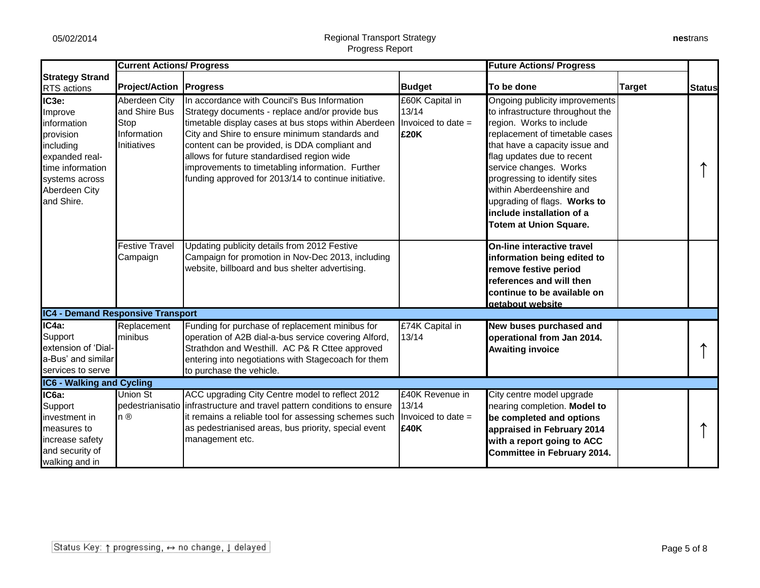|                                                                                                                                                               | <b>Current Actions/ Progress</b>                                     |                                                                                                                                                                                                                                                                                                                                                                                                                      |                                                          | <b>Future Actions/ Progress</b>                                                                                                                                                                                                                                                                                                                                                       |               |               |
|---------------------------------------------------------------------------------------------------------------------------------------------------------------|----------------------------------------------------------------------|----------------------------------------------------------------------------------------------------------------------------------------------------------------------------------------------------------------------------------------------------------------------------------------------------------------------------------------------------------------------------------------------------------------------|----------------------------------------------------------|---------------------------------------------------------------------------------------------------------------------------------------------------------------------------------------------------------------------------------------------------------------------------------------------------------------------------------------------------------------------------------------|---------------|---------------|
| <b>Strategy Strand</b><br><b>RTS</b> actions                                                                                                                  | <b>Project/Action   Progress</b>                                     |                                                                                                                                                                                                                                                                                                                                                                                                                      | <b>Budget</b>                                            | To be done                                                                                                                                                                                                                                                                                                                                                                            | <b>Target</b> | <b>Status</b> |
| IC <sub>3e</sub> :<br>Improve<br>information<br>provision<br>including<br>expanded real-<br>time information<br>systems across<br>Aberdeen City<br>and Shire. | Aberdeen City<br>and Shire Bus<br>Stop<br>Information<br>Initiatives | In accordance with Council's Bus Information<br>Strategy documents - replace and/or provide bus<br>timetable display cases at bus stops within Aberdeen<br>City and Shire to ensure minimum standards and<br>content can be provided, is DDA compliant and<br>allows for future standardised region wide<br>improvements to timetabling information. Further<br>funding approved for 2013/14 to continue initiative. | £60K Capital in<br>13/14<br>Invoiced to date $=$<br>£20K | Ongoing publicity improvements<br>to infrastructure throughout the<br>region. Works to include<br>replacement of timetable cases<br>that have a capacity issue and<br>flag updates due to recent<br>service changes. Works<br>progressing to identify sites<br>within Aberdeenshire and<br>upgrading of flags. Works to<br>include installation of a<br><b>Totem at Union Square.</b> |               |               |
|                                                                                                                                                               | <b>Festive Travel</b><br>Campaign                                    | Updating publicity details from 2012 Festive<br>Campaign for promotion in Nov-Dec 2013, including<br>website, billboard and bus shelter advertising.                                                                                                                                                                                                                                                                 |                                                          | <b>On-line interactive travel</b><br>information being edited to<br>remove festive period<br>references and will then<br>continue to be available on<br>getabout website                                                                                                                                                                                                              |               |               |
| <b>IC4 - Demand Responsive Transport</b>                                                                                                                      |                                                                      |                                                                                                                                                                                                                                                                                                                                                                                                                      |                                                          |                                                                                                                                                                                                                                                                                                                                                                                       |               |               |
| IC4a:<br>Support<br>extension of 'Dial-<br>a-Bus' and similar<br>services to serve                                                                            | Replacement<br>minibus                                               | Funding for purchase of replacement minibus for<br>operation of A2B dial-a-bus service covering Alford,<br>Strathdon and Westhill. AC P& R Cttee approved<br>entering into negotiations with Stagecoach for them<br>to purchase the vehicle.                                                                                                                                                                         | E74K Capital in<br>13/14                                 | New buses purchased and<br>operational from Jan 2014.<br><b>Awaiting invoice</b>                                                                                                                                                                                                                                                                                                      |               |               |
| <b>IC6 - Walking and Cycling</b>                                                                                                                              |                                                                      |                                                                                                                                                                                                                                                                                                                                                                                                                      |                                                          |                                                                                                                                                                                                                                                                                                                                                                                       |               |               |
| IC6a:<br>Support<br>investment in<br>measures to<br>increase safety<br>and security of<br>walking and in                                                      | Union St<br>n ®                                                      | ACC upgrading City Centre model to reflect 2012<br>pedestrianisatio infrastructure and travel pattern conditions to ensure<br>it remains a reliable tool for assessing schemes such<br>as pedestrianised areas, bus priority, special event<br>management etc.                                                                                                                                                       | £40K Revenue in<br>13/14<br>Invoiced to date $=$<br>£40K | City centre model upgrade<br>nearing completion. Model to<br>be completed and options<br>appraised in February 2014<br>with a report going to ACC<br><b>Committee in February 2014.</b>                                                                                                                                                                                               |               |               |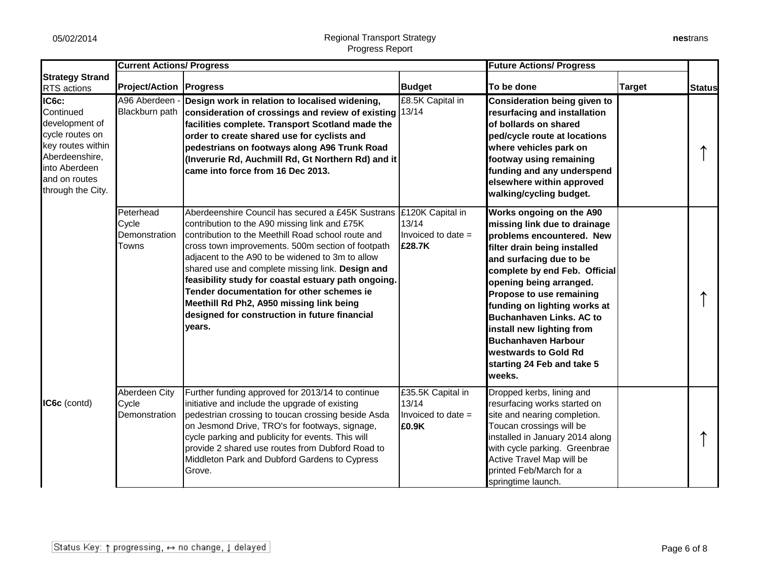|                                                                                                                                                       | <b>Current Actions/ Progress</b>             |                                                                                                                                                                                                                                                                                                                                                                                                                                                                                                                                                   |                                                                  | <b>Future Actions/ Progress</b>                                                                                                                                                                                                                                                                                                                                                                                                        |               |               |
|-------------------------------------------------------------------------------------------------------------------------------------------------------|----------------------------------------------|---------------------------------------------------------------------------------------------------------------------------------------------------------------------------------------------------------------------------------------------------------------------------------------------------------------------------------------------------------------------------------------------------------------------------------------------------------------------------------------------------------------------------------------------------|------------------------------------------------------------------|----------------------------------------------------------------------------------------------------------------------------------------------------------------------------------------------------------------------------------------------------------------------------------------------------------------------------------------------------------------------------------------------------------------------------------------|---------------|---------------|
| <b>Strategy Strand</b><br>RTS actions                                                                                                                 | <b>Project/Action Progress</b>               |                                                                                                                                                                                                                                                                                                                                                                                                                                                                                                                                                   | <b>Budget</b>                                                    | To be done                                                                                                                                                                                                                                                                                                                                                                                                                             | <b>Target</b> | <b>Status</b> |
| IC6c:<br>Continued<br>development of<br>cycle routes on<br>key routes within<br>Aberdeenshire,<br>into Aberdeen<br>and on routes<br>through the City. | A96 Aberdeen ·<br>Blackburn path             | Design work in relation to localised widening,<br>consideration of crossings and review of existing 13/14<br>facilities complete. Transport Scotland made the<br>order to create shared use for cyclists and<br>pedestrians on footways along A96 Trunk Road<br>(Inverurie Rd, Auchmill Rd, Gt Northern Rd) and it<br>came into force from 16 Dec 2013.                                                                                                                                                                                           | £8.5K Capital in                                                 | <b>Consideration being given to</b><br>resurfacing and installation<br>of bollards on shared<br>ped/cycle route at locations<br>where vehicles park on<br>footway using remaining<br>funding and any underspend<br>elsewhere within approved<br>walking/cycling budget.                                                                                                                                                                |               |               |
|                                                                                                                                                       | Peterhead<br>Cycle<br>Demonstration<br>Towns | Aberdeenshire Council has secured a £45K Sustrans £120K Capital in<br>contribution to the A90 missing link and £75K<br>contribution to the Meethill Road school route and<br>cross town improvements. 500m section of footpath<br>adjacent to the A90 to be widened to 3m to allow<br>shared use and complete missing link. Design and<br>feasibility study for coastal estuary path ongoing.<br>Tender documentation for other schemes ie<br>Meethill Rd Ph2, A950 missing link being<br>designed for construction in future financial<br>years. | 13/14<br>Invoiced to date =<br>£28.7K                            | Works ongoing on the A90<br>missing link due to drainage<br>problems encountered. New<br>filter drain being installed<br>and surfacing due to be<br>complete by end Feb. Official<br>opening being arranged.<br>Propose to use remaining<br>funding on lighting works at<br><b>Buchanhaven Links. AC to</b><br>install new lighting from<br><b>Buchanhaven Harbour</b><br>westwards to Gold Rd<br>starting 24 Feb and take 5<br>weeks. |               |               |
| IC6c (contd)                                                                                                                                          | Aberdeen City<br>Cycle<br>Demonstration      | Further funding approved for 2013/14 to continue<br>initiative and include the upgrade of existing<br>pedestrian crossing to toucan crossing beside Asda<br>on Jesmond Drive, TRO's for footways, signage,<br>cycle parking and publicity for events. This will<br>provide 2 shared use routes from Dubford Road to<br>Middleton Park and Dubford Gardens to Cypress<br>Grove.                                                                                                                                                                    | £35.5K Capital in<br>13/14<br>Invoiced to date =<br><b>E0.9K</b> | Dropped kerbs, lining and<br>resurfacing works started on<br>site and nearing completion.<br>Toucan crossings will be<br>installed in January 2014 along<br>with cycle parking. Greenbrae<br>Active Travel Map will be<br>printed Feb/March for a<br>springtime launch.                                                                                                                                                                |               |               |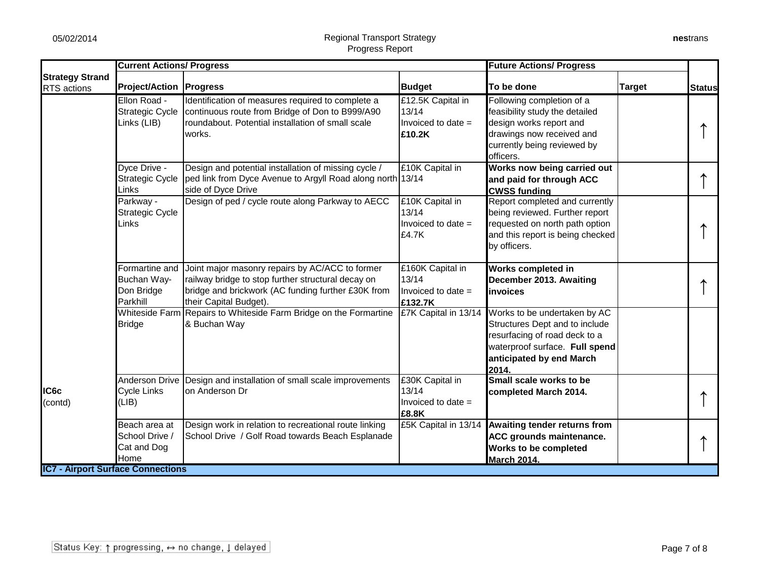|                                          | <b>Current Actions/ Progress</b>                        |                                                                                                                                                                                       |                                                            | <b>Future Actions/ Progress</b>                                                                                                                                        |               |               |
|------------------------------------------|---------------------------------------------------------|---------------------------------------------------------------------------------------------------------------------------------------------------------------------------------------|------------------------------------------------------------|------------------------------------------------------------------------------------------------------------------------------------------------------------------------|---------------|---------------|
| <b>Strategy Strand</b><br>RTS actions    | <b>Project/Action   Progress</b>                        |                                                                                                                                                                                       | <b>Budget</b>                                              | To be done                                                                                                                                                             | <b>Target</b> | <b>Status</b> |
|                                          | Ellon Road -<br><b>Strategic Cycle</b><br>Links (LIB)   | Identification of measures required to complete a<br>continuous route from Bridge of Don to B999/A90<br>roundabout. Potential installation of small scale<br>works.                   | £12.5K Capital in<br>13/14<br>Invoiced to date =<br>£10.2K | Following completion of a<br>feasibility study the detailed<br>design works report and<br>drawings now received and<br>currently being reviewed by<br>officers.        |               |               |
|                                          | Dyce Drive -<br><b>Strategic Cycle</b><br>Links         | Design and potential installation of missing cycle /<br>ped link from Dyce Avenue to Argyll Road along north 13/14<br>side of Dyce Drive                                              | £10K Capital in                                            | Works now being carried out<br>and paid for through ACC<br><b>CWSS funding</b>                                                                                         |               |               |
|                                          | Parkway -<br><b>Strategic Cycle</b><br>Links            | Design of ped / cycle route along Parkway to AECC                                                                                                                                     | £10K Capital in<br>13/14<br>Invoiced to date =<br>£4.7K    | Report completed and currently<br>being reviewed. Further report<br>requested on north path option<br>and this report is being checked<br>by officers.                 |               |               |
|                                          | Formartine and<br>Buchan Way-<br>Don Bridge<br>Parkhill | Joint major masonry repairs by AC/ACC to former<br>railway bridge to stop further structural decay on<br>bridge and brickwork (AC funding further £30K from<br>their Capital Budget). | £160K Capital in<br>13/14<br>Invoiced to date =<br>£132.7K | <b>Works completed in</b><br>December 2013. Awaiting<br>linvoices                                                                                                      |               |               |
|                                          | <b>Whiteside Farm</b><br><b>Bridge</b>                  | Repairs to Whiteside Farm Bridge on the Formartine<br>& Buchan Way                                                                                                                    | £7K Capital in 13/14                                       | Works to be undertaken by AC<br>Structures Dept and to include<br>resurfacing of road deck to a<br>waterproof surface. Full spend<br>anticipated by end March<br>2014. |               |               |
| IC6c<br>(contd)                          | <b>Anderson Drive</b><br><b>Cycle Links</b><br>(LIB)    | Design and installation of small scale improvements<br>on Anderson Dr                                                                                                                 | £30K Capital in<br>13/14<br>Invoiced to date $=$<br>£8.8K  | Small scale works to be<br>completed March 2014.                                                                                                                       |               |               |
| <b>IC7 - Airport Surface Connections</b> | Beach area at<br>School Drive /<br>Cat and Dog<br>Home  | Design work in relation to recreational route linking<br>School Drive / Golf Road towards Beach Esplanade                                                                             |                                                            | £5K Capital in 13/14 Awaiting tender returns from<br>ACC grounds maintenance.<br>Works to be completed<br><b>March 2014.</b>                                           |               |               |